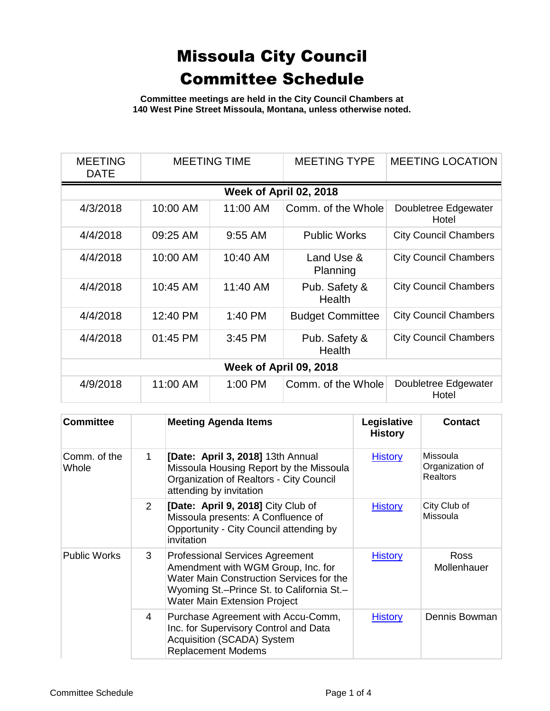**Committee meetings are held in the City Council Chambers at 140 West Pine Street Missoula, Montana, unless otherwise noted.**

| <b>MEETING</b><br><b>DATE</b> | <b>MEETING TIME</b>    |           | <b>MEETING TYPE</b>     | <b>MEETING LOCATION</b>       |  |  |  |
|-------------------------------|------------------------|-----------|-------------------------|-------------------------------|--|--|--|
|                               | Week of April 02, 2018 |           |                         |                               |  |  |  |
| 4/3/2018                      | 10:00 AM               | 11:00 AM  | Comm. of the Whole      | Doubletree Edgewater<br>Hotel |  |  |  |
| 4/4/2018                      | 09:25 AM               | $9:55$ AM | <b>Public Works</b>     | <b>City Council Chambers</b>  |  |  |  |
| 4/4/2018                      | 10:00 AM               | 10:40 AM  | Land Use &<br>Planning  | <b>City Council Chambers</b>  |  |  |  |
| 4/4/2018                      | 10:45 AM               | 11:40 AM  | Pub. Safety &<br>Health | <b>City Council Chambers</b>  |  |  |  |
| 4/4/2018                      | 12:40 PM               | $1:40$ PM | <b>Budget Committee</b> | <b>City Council Chambers</b>  |  |  |  |
| 4/4/2018                      | 01:45 PM               | 3:45 PM   | Pub. Safety &<br>Health | <b>City Council Chambers</b>  |  |  |  |
| Week of April 09, 2018        |                        |           |                         |                               |  |  |  |
| 4/9/2018                      | 11:00 AM               | 1:00 PM   | Comm. of the Whole      | Doubletree Edgewater<br>Hotel |  |  |  |

| <b>Committee</b>      |                | <b>Meeting Agenda Items</b>                                                                                                                                                                                  | Legislative<br><b>History</b> | <b>Contact</b>                                 |
|-----------------------|----------------|--------------------------------------------------------------------------------------------------------------------------------------------------------------------------------------------------------------|-------------------------------|------------------------------------------------|
| Comm. of the<br>Whole | $\mathbf 1$    | [Date: April 3, 2018] 13th Annual<br>Missoula Housing Report by the Missoula<br>Organization of Realtors - City Council<br>attending by invitation                                                           | <b>History</b>                | Missoula<br>Organization of<br><b>Realtors</b> |
|                       | $\overline{2}$ | [Date: April 9, 2018] City Club of<br>Missoula presents: A Confluence of<br>Opportunity - City Council attending by<br>invitation                                                                            | <b>History</b>                | City Club of<br>Missoula                       |
| <b>Public Works</b>   | 3              | <b>Professional Services Agreement</b><br>Amendment with WGM Group, Inc. for<br>Water Main Construction Services for the<br>Wyoming St.-Prince St. to California St.-<br><b>Water Main Extension Project</b> | <b>History</b>                | Ross<br>Mollenhauer                            |
|                       | 4              | Purchase Agreement with Accu-Comm,<br>Inc. for Supervisory Control and Data<br>Acquisition (SCADA) System<br><b>Replacement Modems</b>                                                                       | <b>History</b>                | Dennis Bowman                                  |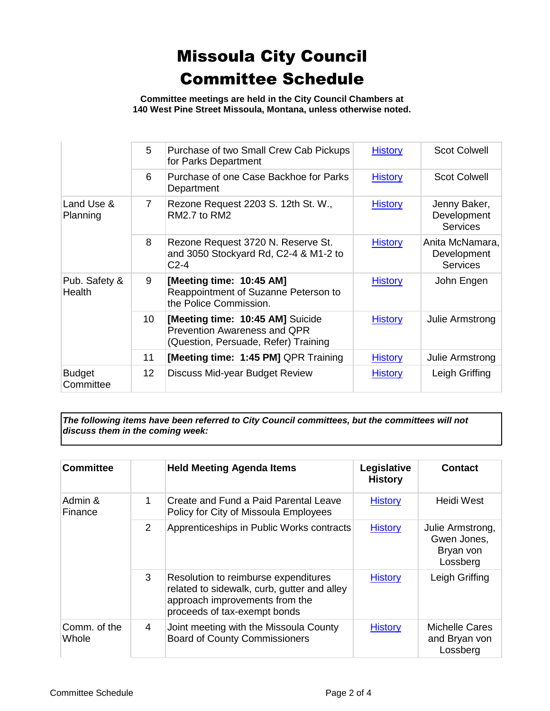**Committee meetings are held in the City Council Chambers at 140 West Pine Street Missoula, Montana, unless otherwise noted.**

|                            | 5               | Purchase of two Small Crew Cab Pickups<br>for Parks Department                                           | <b>History</b> | <b>Scot Colwell</b>                               |
|----------------------------|-----------------|----------------------------------------------------------------------------------------------------------|----------------|---------------------------------------------------|
|                            | 6               | Purchase of one Case Backhoe for Parks<br>Department                                                     | <b>History</b> | <b>Scot Colwell</b>                               |
| Land Use &<br>Planning     | $7^{\circ}$     | Rezone Request 2203 S. 12th St. W.,<br>RM2.7 to RM2                                                      | <b>History</b> | Jenny Baker,<br>Development<br><b>Services</b>    |
|                            | 8               | Rezone Request 3720 N. Reserve St.<br>and 3050 Stockyard Rd, C2-4 & M1-2 to<br>$C2-4$                    | <b>History</b> | Anita McNamara,<br>Development<br><b>Services</b> |
| Pub. Safety &<br>Health    | 9               | [Meeting time: 10:45 AM]<br>Reappointment of Suzanne Peterson to<br>the Police Commission.               | <b>History</b> | John Engen                                        |
|                            | 10 <sup>1</sup> | [Meeting time: 10:45 AM] Suicide<br>Prevention Awareness and QPR<br>(Question, Persuade, Refer) Training | <b>History</b> | Julie Armstrong                                   |
|                            | 11              | [Meeting time: 1:45 PM] QPR Training                                                                     | <b>History</b> | Julie Armstrong                                   |
| <b>Budget</b><br>Committee | 12 <sub>2</sub> | Discuss Mid-year Budget Review                                                                           | <b>History</b> | Leigh Griffing                                    |

*The following items have been referred to City Council committees, but the committees will not discuss them in the coming week:*

| <b>Committee</b>      |                | <b>Held Meeting Agenda Items</b>                                                                                                                      | Legislative<br><b>History</b> | Contact                                                  |
|-----------------------|----------------|-------------------------------------------------------------------------------------------------------------------------------------------------------|-------------------------------|----------------------------------------------------------|
| Admin &<br>Finance    | 1              | Create and Fund a Paid Parental Leave<br>Policy for City of Missoula Employees                                                                        | <b>History</b>                | Heidi West                                               |
|                       | $\overline{2}$ | Apprenticeships in Public Works contracts                                                                                                             | <b>History</b>                | Julie Armstrong,<br>Gwen Jones,<br>Bryan von<br>Lossberg |
|                       | 3              | Resolution to reimburse expenditures<br>related to sidewalk, curb, gutter and alley<br>approach improvements from the<br>proceeds of tax-exempt bonds | <b>History</b>                | Leigh Griffing                                           |
| Comm. of the<br>Whole | 4              | Joint meeting with the Missoula County<br><b>Board of County Commissioners</b>                                                                        | <b>History</b>                | Michelle Cares<br>and Bryan von<br>Lossberg              |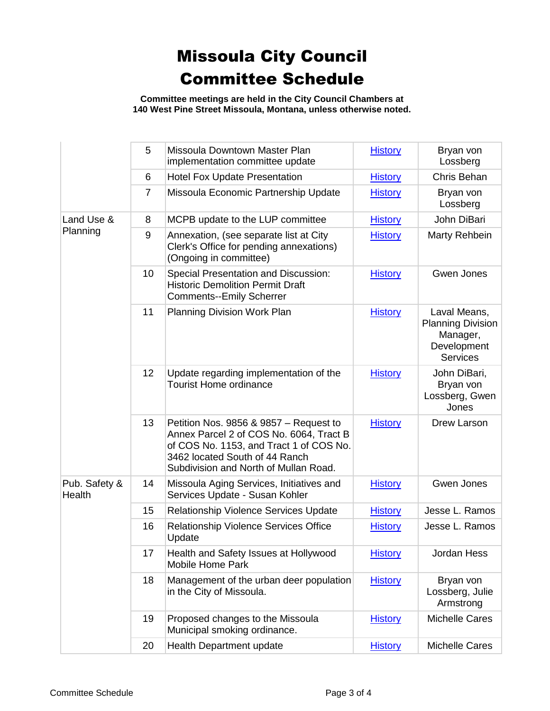**Committee meetings are held in the City Council Chambers at 140 West Pine Street Missoula, Montana, unless otherwise noted.**

|                         | 5              | Missoula Downtown Master Plan<br>implementation committee update                                                                                                                                        | <b>History</b> | Bryan von<br>Lossberg                                                                  |
|-------------------------|----------------|---------------------------------------------------------------------------------------------------------------------------------------------------------------------------------------------------------|----------------|----------------------------------------------------------------------------------------|
|                         | 6              | <b>Hotel Fox Update Presentation</b>                                                                                                                                                                    | <b>History</b> | Chris Behan                                                                            |
|                         | $\overline{7}$ | Missoula Economic Partnership Update                                                                                                                                                                    | <b>History</b> | Bryan von<br>Lossberg                                                                  |
| Land Use &<br>Planning  | 8              | MCPB update to the LUP committee                                                                                                                                                                        | <b>History</b> | John DiBari                                                                            |
|                         | 9              | Annexation, (see separate list at City<br>Clerk's Office for pending annexations)<br>(Ongoing in committee)                                                                                             | <b>History</b> | Marty Rehbein                                                                          |
|                         | 10             | <b>Special Presentation and Discussion:</b><br><b>Historic Demolition Permit Draft</b><br><b>Comments--Emily Scherrer</b>                                                                               | <b>History</b> | Gwen Jones                                                                             |
|                         | 11             | <b>Planning Division Work Plan</b>                                                                                                                                                                      | <b>History</b> | Laval Means,<br><b>Planning Division</b><br>Manager,<br>Development<br><b>Services</b> |
|                         | 12             | Update regarding implementation of the<br><b>Tourist Home ordinance</b>                                                                                                                                 | <b>History</b> | John DiBari,<br>Bryan von<br>Lossberg, Gwen<br>Jones                                   |
|                         | 13             | Petition Nos. 9856 & 9857 – Request to<br>Annex Parcel 2 of COS No. 6064, Tract B<br>of COS No. 1153, and Tract 1 of COS No.<br>3462 located South of 44 Ranch<br>Subdivision and North of Mullan Road. | <b>History</b> | Drew Larson                                                                            |
| Pub. Safety &<br>Health | 14             | Missoula Aging Services, Initiatives and<br>Services Update - Susan Kohler                                                                                                                              | <b>History</b> | Gwen Jones                                                                             |
|                         | 15             | Relationship Violence Services Update                                                                                                                                                                   | <b>History</b> | Jesse L. Ramos                                                                         |
|                         | 16             | <b>Relationship Violence Services Office</b><br>Update                                                                                                                                                  | <b>History</b> | Jesse L. Ramos                                                                         |
|                         | 17             | Health and Safety Issues at Hollywood<br><b>Mobile Home Park</b>                                                                                                                                        | <b>History</b> | Jordan Hess                                                                            |
|                         | 18             | Management of the urban deer population<br>in the City of Missoula.                                                                                                                                     | <b>History</b> | Bryan von<br>Lossberg, Julie<br>Armstrong                                              |
|                         | 19             | Proposed changes to the Missoula<br>Municipal smoking ordinance.                                                                                                                                        | <b>History</b> | <b>Michelle Cares</b>                                                                  |
|                         | 20             | <b>Health Department update</b>                                                                                                                                                                         | <b>History</b> | Michelle Cares                                                                         |